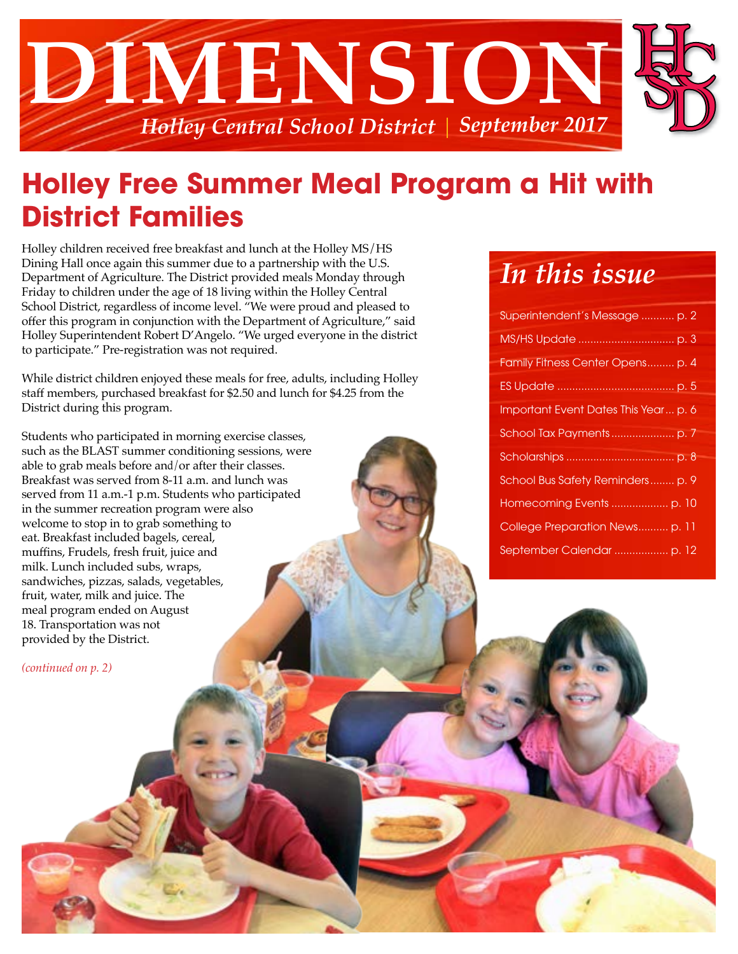

## **Holley Free Summer Meal Program a Hit with District Families**

Holley children received free breakfast and lunch at the Holley MS/HS Dining Hall once again this summer due to a partnership with the U.S. Department of Agriculture. The District provided meals Monday through Friday to children under the age of 18 living within the Holley Central School District, regardless of income level. "We were proud and pleased to offer this program in conjunction with the Department of Agriculture," said Holley Superintendent Robert D'Angelo. "We urged everyone in the district to participate." Pre-registration was not required.

While district children enjoyed these meals for free, adults, including Holley staff members, purchased breakfast for \$2.50 and lunch for \$4.25 from the District during this program.

Students who participated in morning exercise classes, such as the BLAST summer conditioning sessions, were able to grab meals before and/or after their classes. Breakfast was served from 8-11 a.m. and lunch was served from 11 a.m.-1 p.m. Students who participated in the summer recreation program were also welcome to stop in to grab something to eat. Breakfast included bagels, cereal, muffins, Frudels, fresh fruit, juice and milk. Lunch included subs, wraps, sandwiches, pizzas, salads, vegetables, fruit, water, milk and juice. The meal program ended on August 18. Transportation was not provided by the District.

*(continued on p. 2)*

### *In this issue*

| Superintendent's Message  p. 2       |
|--------------------------------------|
|                                      |
| Family Fitness Center Opens p. 4     |
|                                      |
| Important Event Dates This Year p. 6 |
|                                      |
|                                      |
| School Bus Safety Reminders p. 9     |
|                                      |
| College Preparation News p. 11       |
|                                      |
|                                      |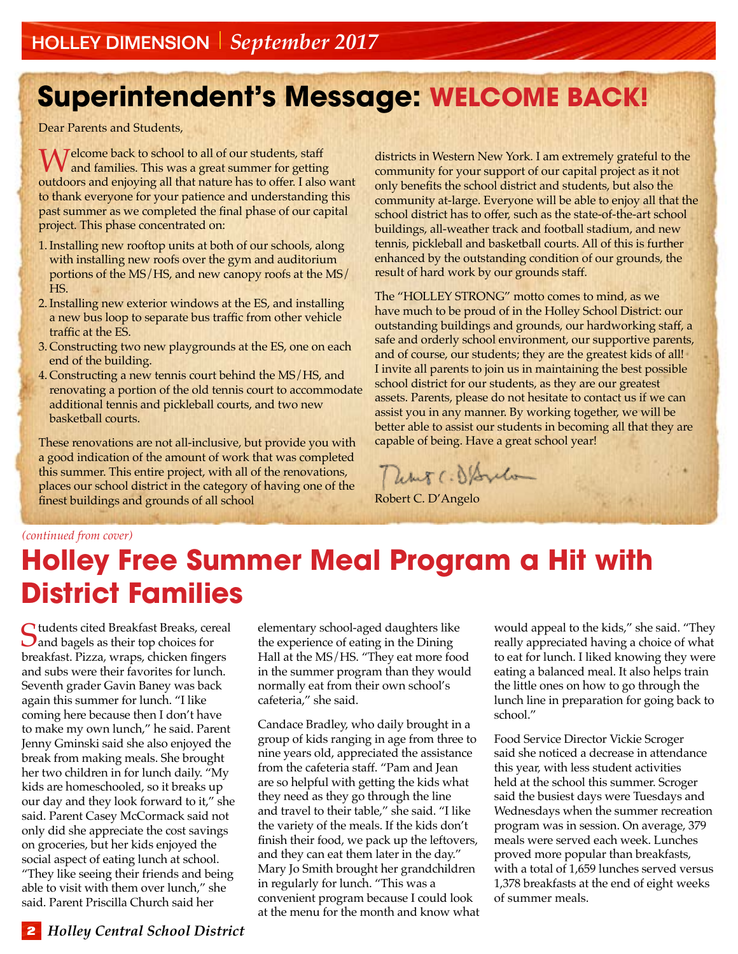# **Superintendent's Message: WELCOME BACK!**

Dear Parents and Students,

Welcome back to school to all of our students, staff **V** and families. This was a great summer for getting outdoors and enjoying all that nature has to offer. I also want to thank everyone for your patience and understanding this past summer as we completed the final phase of our capital project. This phase concentrated on:

- 1.Installing new rooftop units at both of our schools, along with installing new roofs over the gym and auditorium portions of the MS/HS, and new canopy roofs at the MS/ HS.
- 2.Installing new exterior windows at the ES, and installing a new bus loop to separate bus traffic from other vehicle traffic at the ES.
- 3. Constructing two new playgrounds at the ES, one on each end of the building.
- 4. Constructing a new tennis court behind the MS/HS, and renovating a portion of the old tennis court to accommodate additional tennis and pickleball courts, and two new basketball courts.

These renovations are not all-inclusive, but provide you with a good indication of the amount of work that was completed this summer. This entire project, with all of the renovations, places our school district in the category of having one of the finest buildings and grounds of all school

districts in Western New York. I am extremely grateful to the community for your support of our capital project as it not only benefits the school district and students, but also the community at-large. Everyone will be able to enjoy all that the school district has to offer, such as the state-of-the-art school buildings, all-weather track and football stadium, and new tennis, pickleball and basketball courts. All of this is further enhanced by the outstanding condition of our grounds, the result of hard work by our grounds staff.

The "HOLLEY STRONG" motto comes to mind, as we have much to be proud of in the Holley School District: our outstanding buildings and grounds, our hardworking staff, a safe and orderly school environment, our supportive parents, and of course, our students; they are the greatest kids of all! I invite all parents to join us in maintaining the best possible school district for our students, as they are our greatest assets. Parents, please do not hesitate to contact us if we can assist you in any manner. By working together, we will be better able to assist our students in becoming all that they are capable of being. Have a great school year!

Thems (. S/Sylv

Robert C. D'Angelo

#### *(continued from cover)*

## **Holley Free Summer Meal Program a Hit with District Families**

Students cited Breakfast Breaks, cereal and bagels as their top choices for breakfast. Pizza, wraps, chicken fingers and subs were their favorites for lunch. Seventh grader Gavin Baney was back again this summer for lunch. "I like coming here because then I don't have to make my own lunch," he said. Parent Jenny Gminski said she also enjoyed the break from making meals. She brought her two children in for lunch daily. "My kids are homeschooled, so it breaks up our day and they look forward to it," she said. Parent Casey McCormack said not only did she appreciate the cost savings on groceries, but her kids enjoyed the social aspect of eating lunch at school. "They like seeing their friends and being able to visit with them over lunch," she said. Parent Priscilla Church said her

elementary school-aged daughters like the experience of eating in the Dining Hall at the MS/HS. "They eat more food in the summer program than they would normally eat from their own school's cafeteria," she said.

Candace Bradley, who daily brought in a group of kids ranging in age from three to nine years old, appreciated the assistance from the cafeteria staff. "Pam and Jean are so helpful with getting the kids what they need as they go through the line and travel to their table," she said. "I like the variety of the meals. If the kids don't finish their food, we pack up the leftovers, and they can eat them later in the day." Mary Jo Smith brought her grandchildren in regularly for lunch. "This was a convenient program because I could look at the menu for the month and know what would appeal to the kids," she said. "They really appreciated having a choice of what to eat for lunch. I liked knowing they were eating a balanced meal. It also helps train the little ones on how to go through the lunch line in preparation for going back to school."

Food Service Director Vickie Scroger said she noticed a decrease in attendance this year, with less student activities held at the school this summer. Scroger said the busiest days were Tuesdays and Wednesdays when the summer recreation program was in session. On average, 379 meals were served each week. Lunches proved more popular than breakfasts, with a total of 1,659 lunches served versus 1,378 breakfasts at the end of eight weeks of summer meals.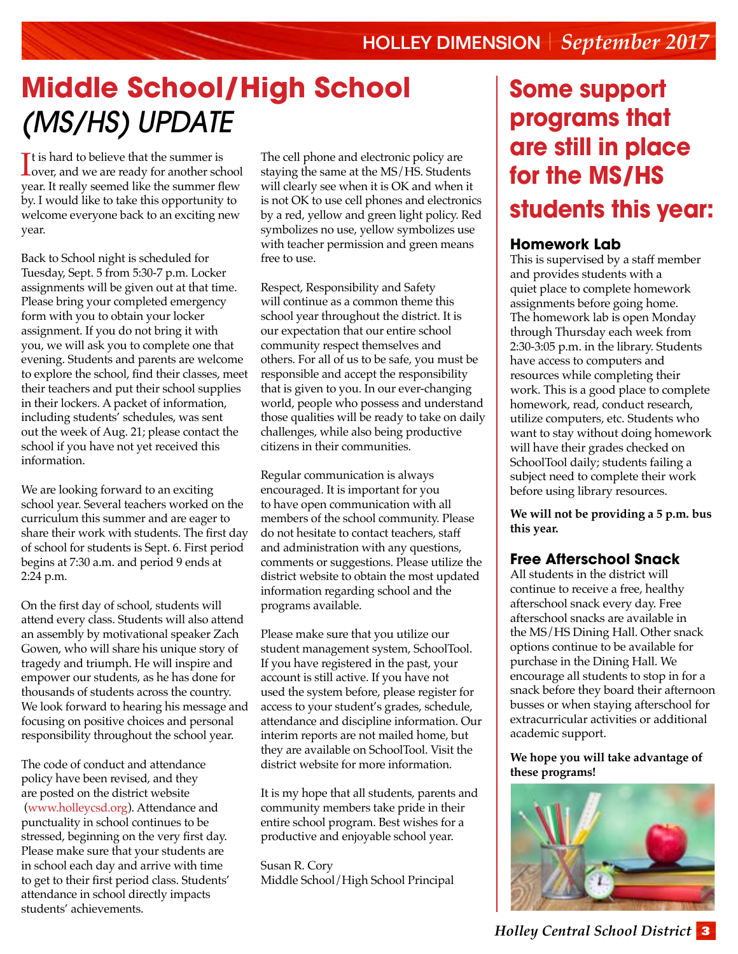# **Middle School/High School**  *(MS/HS) Update*

 $\Gamma$  t is hard to believe that the summer is<br>over, and we are ready for another school is a summer of over, and we are ready for another school year. It really seemed like the summer flew by. I would like to take this opportunity to welcome everyone back to an exciting new year.

Back to School night is scheduled for Tuesday, Sept. 5 from 5:30-7 p.m. Locker assignments will be given out at that time. Please bring your completed emergency form with you to obtain your locker assignment. If you do not bring it with you, we will ask you to complete one that evening. Students and parents are welcome to explore the school, find their classes, meet their teachers and put their school supplies in their lockers. A packet of information, including students' schedules, was sent out the week of Aug. 21; please contact the school if you have not yet received this information.

We are looking forward to an exciting school year. Several teachers worked on the curriculum this summer and are eager to share their work with students. The first day of school for students is Sept. 6. First period begins at 7:30 a.m. and period 9 ends at 2:24 p.m.

On the first day of school, students will attend every class. Students will also attend an assembly by motivational speaker Zach Gowen, who will share his unique story of tragedy and triumph. He will inspire and empower our students, as he has done for thousands of students across the country. We look forward to hearing his message and focusing on positive choices and personal responsibility throughout the school year.

The code of conduct and attendance policy have been revised, and they are posted on the district website [\(www.holleycsd.org\)](http://www.holleycsd.org). Attendance and punctuality in school continues to be stressed, beginning on the very first day. Please make sure that your students are in school each day and arrive with time to get to their first period class. Students' attendance in school directly impacts students' achievements.

The cell phone and electronic policy are staying the same at the MS/HS. Students will clearly see when it is OK and when it is not OK to use cell phones and electronics by a red, yellow and green light policy. Red symbolizes no use, yellow symbolizes use with teacher permission and green means free to use.

Respect, Responsibility and Safety will continue as a common theme this school year throughout the district. It is our expectation that our entire school community respect themselves and others. For all of us to be safe, you must be responsible and accept the responsibility that is given to you. In our ever-changing world, people who possess and understand those qualities will be ready to take on daily challenges, while also being productive citizens in their communities.

Regular communication is always encouraged. It is important for you to have open communication with all members of the school community. Please do not hesitate to contact teachers, staff and administration with any questions, comments or suggestions. Please utilize the district website to obtain the most updated information regarding school and the programs available.

Please make sure that you utilize our student management system, SchoolTool. If you have registered in the past, your account is still active. If you have not used the system before, please register for access to your student's grades, schedule, attendance and discipline information. Our interim reports are not mailed home, but they are available on SchoolTool. Visit the district website for more information.

It is my hope that all students, parents and community members take pride in their entire school program. Best wishes for a productive and enjoyable school year.

Susan R. Cory Middle School/High School Principal

### **Some support programs that are still in place for the MS/HS students this year:**

### **Homework Lab**

This is supervised by a staff member and provides students with a quiet place to complete homework assignments before going home. The homework lab is open Monday through Thursday each week from 2:30-3:05 p.m. in the library. Students have access to computers and resources while completing their work. This is a good place to complete homework, read, conduct research, utilize computers, etc. Students who want to stay without doing homework will have their grades checked on SchoolTool daily; students failing a subject need to complete their work before using library resources.

**We will not be providing a 5 p.m. bus this year.**

### **Free Afterschool Snack**

All students in the district will continue to receive a free, healthy afterschool snack every day. Free afterschool snacks are available in the MS/HS Dining Hall. Other snack options continue to be available for purchase in the Dining Hall. We encourage all students to stop in for a snack before they board their afternoon busses or when staying afterschool for extracurricular activities or additional academic support.

**We hope you will take advantage of these programs!**

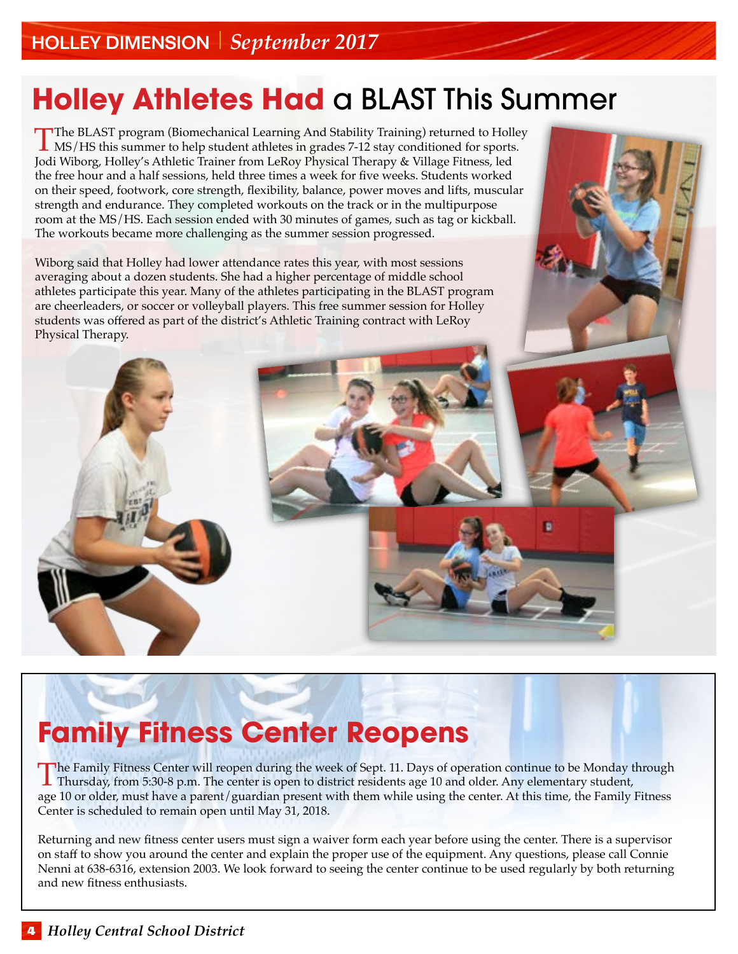# **Holley Athletes Had** a BLAST This Summer

The BLAST program (Biomechanical Learning And Stability Training) returned to Holley<br>MS/HS this summer to help student athletes in grades 7-12 stay conditioned for sports.<br>Ledi Wibers, Heller's Athletis Trainer from LeBey Jodi Wiborg, Holley's Athletic Trainer from LeRoy Physical Therapy & Village Fitness, led the free hour and a half sessions, held three times a week for five weeks. Students worked on their speed, footwork, core strength, flexibility, balance, power moves and lifts, muscular strength and endurance. They completed workouts on the track or in the multipurpose room at the MS/HS. Each session ended with 30 minutes of games, such as tag or kickball. The workouts became more challenging as the summer session progressed.

Wiborg said that Holley had lower attendance rates this year, with most sessions averaging about a dozen students. She had a higher percentage of middle school athletes participate this year. Many of the athletes participating in the BLAST program are cheerleaders, or soccer or volleyball players. This free summer session for Holley students was offered as part of the district's Athletic Training contract with LeRoy Physical Therapy.

# **Family Fitness Center Reopens**

The Family Fitness Center will reopen during the week of Sept. 11. Days of operation continue to be Monday through<br>Thursday, from 5:30-8 p.m. The center is open to district residents age 10 and older. Any elementary studen age 10 or older, must have a parent/guardian present with them while using the center. At this time, the Family Fitness Center is scheduled to remain open until May 31, 2018.

Returning and new fitness center users must sign a waiver form each year before using the center. There is a supervisor on staff to show you around the center and explain the proper use of the equipment. Any questions, please call Connie Nenni at 638-6316, extension 2003. We look forward to seeing the center continue to be used regularly by both returning and new fitness enthusiasts.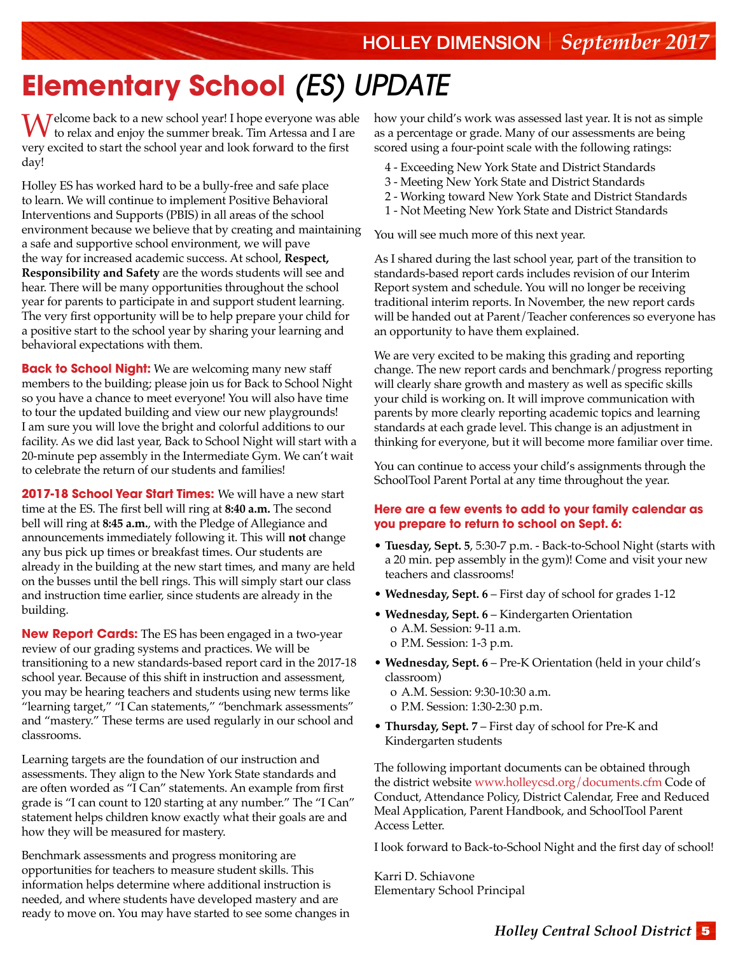# **Elementary School** *(ES)* **UPDATE**

Welcome back to a new school year! I hope everyone was able to relax and enjoy the summer break. Tim Artessa and I are very excited to start the school year and look forward to the first day!

Holley ES has worked hard to be a bully-free and safe place to learn. We will continue to implement Positive Behavioral Interventions and Supports (PBIS) in all areas of the school environment because we believe that by creating and maintaining a safe and supportive school environment, we will pave the way for increased academic success. At school, **Respect, Responsibility and Safety** are the words students will see and hear. There will be many opportunities throughout the school year for parents to participate in and support student learning. The very first opportunity will be to help prepare your child for a positive start to the school year by sharing your learning and behavioral expectations with them.

**Back to School Night:** We are welcoming many new staff members to the building; please join us for Back to School Night so you have a chance to meet everyone! You will also have time to tour the updated building and view our new playgrounds! I am sure you will love the bright and colorful additions to our facility. As we did last year, Back to School Night will start with a 20-minute pep assembly in the Intermediate Gym. We can't wait to celebrate the return of our students and families!

**2017-18 School Year Start Times:** We will have a new start time at the ES. The first bell will ring at **8:40 a.m.** The second bell will ring at **8:45 a.m.**, with the Pledge of Allegiance and announcements immediately following it. This will **not** change any bus pick up times or breakfast times. Our students are already in the building at the new start times, and many are held on the busses until the bell rings. This will simply start our class and instruction time earlier, since students are already in the building.

**New Report Cards:** The ES has been engaged in a two-year review of our grading systems and practices. We will be transitioning to a new standards-based report card in the 2017-18 school year. Because of this shift in instruction and assessment, you may be hearing teachers and students using new terms like "learning target," "I Can statements," "benchmark assessments" and "mastery." These terms are used regularly in our school and classrooms.

Learning targets are the foundation of our instruction and assessments. They align to the New York State standards and are often worded as "I Can" statements. An example from first grade is "I can count to 120 starting at any number." The "I Can" statement helps children know exactly what their goals are and how they will be measured for mastery.

Benchmark assessments and progress monitoring are opportunities for teachers to measure student skills. This information helps determine where additional instruction is needed, and where students have developed mastery and are ready to move on. You may have started to see some changes in how your child's work was assessed last year. It is not as simple as a percentage or grade. Many of our assessments are being scored using a four-point scale with the following ratings:

- 4 Exceeding New York State and District Standards
- 3 Meeting New York State and District Standards
- 2 Working toward New York State and District Standards
- 1 Not Meeting New York State and District Standards

You will see much more of this next year.

As I shared during the last school year, part of the transition to standards-based report cards includes revision of our Interim Report system and schedule. You will no longer be receiving traditional interim reports. In November, the new report cards will be handed out at Parent/Teacher conferences so everyone has an opportunity to have them explained.

We are very excited to be making this grading and reporting change. The new report cards and benchmark/progress reporting will clearly share growth and mastery as well as specific skills your child is working on. It will improve communication with parents by more clearly reporting academic topics and learning standards at each grade level. This change is an adjustment in thinking for everyone, but it will become more familiar over time.

You can continue to access your child's assignments through the SchoolTool Parent Portal at any time throughout the year.

#### **Here are a few events to add to your family calendar as you prepare to return to school on Sept. 6:**

- **Tuesday, Sept. 5**, 5:30-7 p.m. Back-to-School Night (starts with a 20 min. pep assembly in the gym)! Come and visit your new teachers and classrooms!
- **Wednesday, Sept. 6** First day of school for grades 1-12
- **Wednesday, Sept. 6** Kindergarten Orientation o A.M. Session: 9-11 a.m. o P.M. Session: 1-3 p.m.
- **Wednesday, Sept. 6**  Pre-K Orientation (held in your child's classroom) o A.M. Session: 9:30-10:30 a.m.
	- o P.M. Session: 1:30-2:30 p.m.
- **Thursday, Sept. 7** First day of school for Pre-K and Kindergarten students

The following important documents can be obtained through the district website www.holleycsd.org/documents.cfm Code of Conduct, Attendance Policy, District Calendar, Free and Reduced Meal Application, Parent Handbook, and SchoolTool Parent Access Letter.

I look forward to Back-to-School Night and the first day of school!

Karri D. Schiavone Elementary School Principal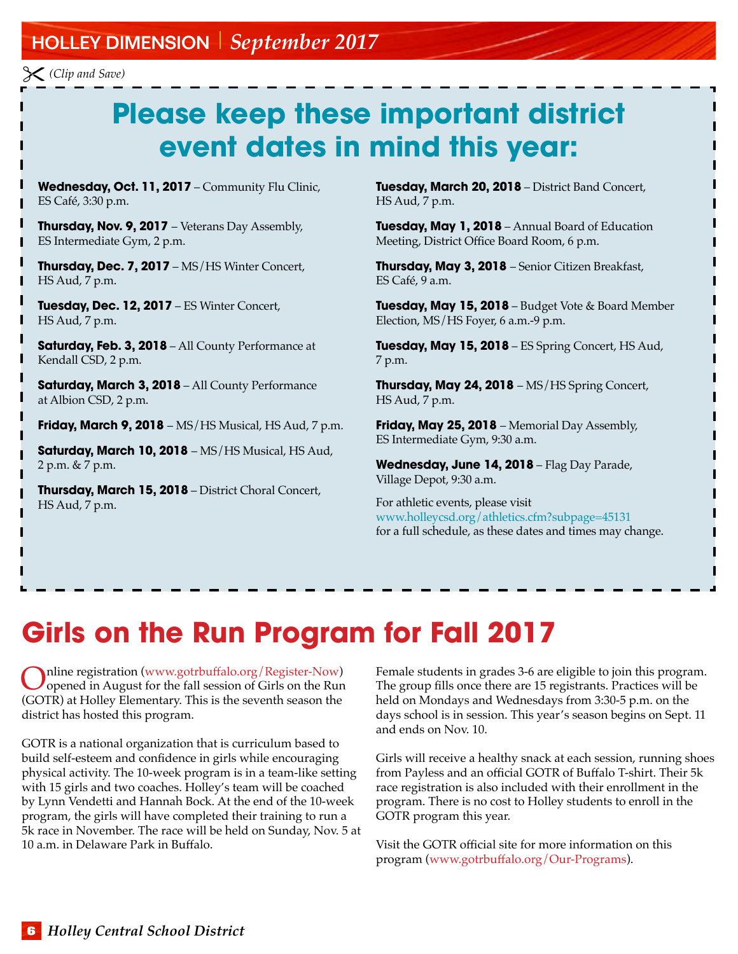### Holley Dimension *September 2017*

*(Clip and Save)*

# **Please keep these important district event dates in mind this year:**

**Wednesday, Oct. 11, 2017** – Community Flu Clinic, ES Café, 3:30 p.m.

**Thursday, Nov. 9, 2017** – Veterans Day Assembly, ES Intermediate Gym, 2 p.m.

**Thursday, Dec. 7, 2017** – MS/HS Winter Concert, HS Aud, 7 p.m.

**Tuesday, Dec. 12, 2017** – ES Winter Concert, HS Aud, 7 p.m.

**Saturday, Feb. 3, 2018** – All County Performance at Kendall CSD, 2 p.m.

**Saturday, March 3, 2018** – All County Performance at Albion CSD, 2 p.m.

**Friday, March 9, 2018** – MS/HS Musical, HS Aud, 7 p.m.

**Saturday, March 10, 2018** – MS/HS Musical, HS Aud, 2 p.m. & 7 p.m.

**Thursday, March 15, 2018** – District Choral Concert, HS Aud, 7 p.m.

**Tuesday, March 20, 2018** – District Band Concert, HS Aud, 7 p.m.

**Tuesday, May 1, 2018** – Annual Board of Education Meeting, District Office Board Room, 6 p.m.

**Thursday, May 3, 2018** – Senior Citizen Breakfast, ES Café, 9 a.m.

**Tuesday, May 15, 2018** – Budget Vote & Board Member Election, MS/HS Foyer, 6 a.m.-9 p.m.

**Tuesday, May 15, 2018** – ES Spring Concert, HS Aud, 7 p.m.

**Thursday, May 24, 2018** – MS/HS Spring Concert, HS Aud, 7 p.m.

**Friday, May 25, 2018** – Memorial Day Assembly, ES Intermediate Gym, 9:30 a.m.

**Wednesday, June 14, 2018** – Flag Day Parade, Village Depot, 9:30 a.m.

For athletic events, please visit www.holleycsd.org/athletics.cfm?subpage=45131 for a full schedule, as these dates and times may change.

# **Girls on the Run Program for Fall 2017**

Online registration (www.gotrbuffalo.org/Register-Now)<br>
opened in August for the fall session of Girls on the Run<br>
(COTP) + Hellen Flamenter: This is the second-(GOTR) at Holley Elementary. This is the seventh season the district has hosted this program.

GOTR is a national organization that is curriculum based to build self-esteem and confidence in girls while encouraging physical activity. The 10-week program is in a team-like setting with 15 girls and two coaches. Holley's team will be coached by Lynn Vendetti and Hannah Bock. At the end of the 10-week program, the girls will have completed their training to run a 5k race in November. The race will be held on Sunday, Nov. 5 at 10 a.m. in Delaware Park in Buffalo.

Female students in grades 3-6 are eligible to join this program. The group fills once there are 15 registrants. Practices will be held on Mondays and Wednesdays from 3:30-5 p.m. on the days school is in session. This year's season begins on Sept. 11 and ends on Nov. 10.

Girls will receive a healthy snack at each session, running shoes from Payless and an official GOTR of Buffalo T-shirt. Their 5k race registration is also included with their enrollment in the program. There is no cost to Holley students to enroll in the GOTR program this year.

Visit the GOTR official site for more information on this program (www.gotrbuffalo.org/Our-Programs).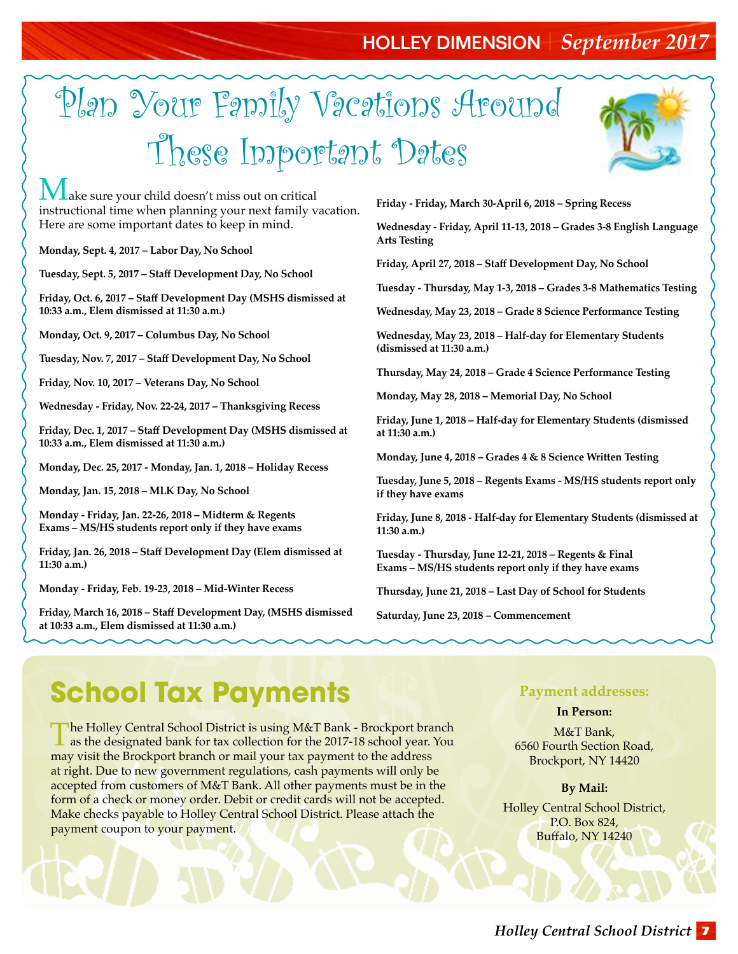### Holley Dimension *September 2017*

# Plan Your Family Vacations Around These Important Dates



 $\int$ ake sure your child doesn't miss out on critical instructional time when planning your next family vacation. Here are some important dates to keep in mind.

**Monday, Sept. 4, 2017 – Labor Day, No School**

**Tuesday, Sept. 5, 2017 – Staff Development Day, No School**

**Friday, Oct. 6, 2017 – Staff Development Day (MSHS dismissed at 10:33 a.m., Elem dismissed at 11:30 a.m.)** 

**Monday, Oct. 9, 2017 – Columbus Day, No School**

**Tuesday, Nov. 7, 2017 – Staff Development Day, No School** 

**Friday, Nov. 10, 2017 – Veterans Day, No School**

**Wednesday - Friday, Nov. 22-24, 2017 – Thanksgiving Recess**

**Friday, Dec. 1, 2017 – Staff Development Day (MSHS dismissed at 10:33 a.m., Elem dismissed at 11:30 a.m.)**

**Monday, Dec. 25, 2017 - Monday, Jan. 1, 2018 – Holiday Recess** 

**Monday, Jan. 15, 2018 – MLK Day, No School**

**Monday - Friday, Jan. 22-26, 2018 – Midterm & Regents Exams – MS/HS students report only if they have exams**

**Friday, Jan. 26, 2018 – Staff Development Day (Elem dismissed at 11:30 a.m.)** 

**Monday - Friday, Feb. 19-23, 2018 – Mid-Winter Recess**

**Friday, March 16, 2018 – Staff Development Day, (MSHS dismissed at 10:33 a.m., Elem dismissed at 11:30 a.m.)**

**Friday - Friday, March 30-April 6, 2018 – Spring Recess**

**Wednesday - Friday, April 11-13, 2018 – Grades 3-8 English Language Arts Testing**

**Friday, April 27, 2018 – Staff Development Day, No School** 

**Tuesday - Thursday, May 1-3, 2018 – Grades 3-8 Mathematics Testing**

**Wednesday, May 23, 2018 – Grade 8 Science Performance Testing**

**Wednesday, May 23, 2018 – Half-day for Elementary Students (dismissed at 11:30 a.m.)**

**Thursday, May 24, 2018 – Grade 4 Science Performance Testing**

**Monday, May 28, 2018 – Memorial Day, No School**

**Friday, June 1, 2018 – Half-day for Elementary Students (dismissed at 11:30 a.m.)**

**Monday, June 4, 2018 – Grades 4 & 8 Science Written Testing**

**Tuesday, June 5, 2018 – Regents Exams - MS/HS students report only if they have exams**

**Friday, June 8, 2018 - Half-day for Elementary Students (dismissed at 11:30 a.m.)**

**Tuesday - Thursday, June 12-21, 2018 – Regents & Final Exams – MS/HS students report only if they have exams**

**Thursday, June 21, 2018 – Last Day of School for Students**

**Saturday, June 23, 2018 – Commencement**

# **School Tax Payments**

The Holley Central School District is using M&T Bank - Brockport branch as the designated bank for tax collection for the 2017-18 school year. You may visit the Brockport branch or mail your tax payment to the address at right. Due to new government regulations, cash payments will only be accepted from customers of M&T Bank. All other payments must be in the form of a check or money order. Debit or credit cards will not be accepted. Make checks payable to Holley Central School District. Please attach the payment coupon to your payment.

#### **Payment addresses:**

#### **In Person:**

M&T Bank, [6560 Fourth Section Road,](http://www.bing.com/maps/default.aspx?cp=43.19838~-77.94548&where1=M%26T%20Bank&ss=ypid.YN662x11490254&FORM=SNAPST)  [Brockport, NY 14420](http://www.bing.com/maps/default.aspx?cp=43.19838~-77.94548&where1=M%26T%20Bank&ss=ypid.YN662x11490254&FORM=SNAPST)

#### **By Mail:**

Holley Central School District, P.O. Box 824, Buffalo, NY 14240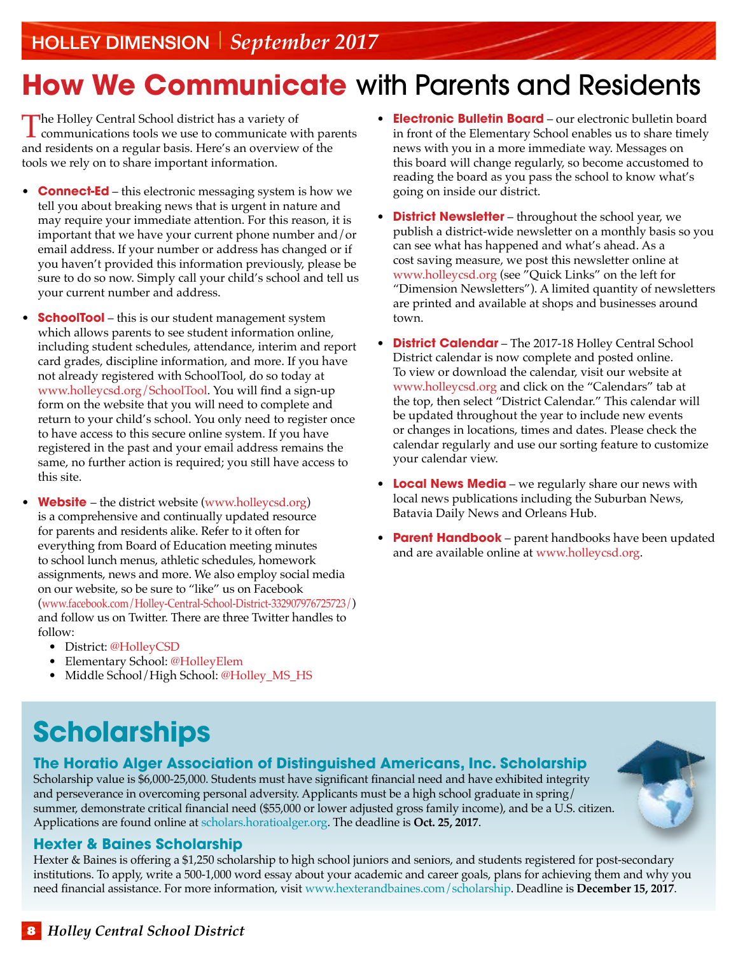# **How We Communicate** with Parents and Residents

The Holley Central School district has a variety of<br>
communications tools we use to communicate with parents<br>
and goal don't are a graveler basis. Here's an averation of the and residents on a regular basis. Here's an overview of the tools we rely on to share important information.

- **Connect-Ed** this electronic messaging system is how we tell you about breaking news that is urgent in nature and may require your immediate attention. For this reason, it is important that we have your current phone number and/or email address. If your number or address has changed or if you haven't provided this information previously, please be sure to do so now. Simply call your child's school and tell us your current number and address.
- **SchoolTool** this is our student management system which allows parents to see student information online, including student schedules, attendance, interim and report card grades, discipline information, and more. If you have not already registered with SchoolTool, do so today at www.holleycsd.org/SchoolTool. You will find a sign-up form on the website that you will need to complete and return to your child's school. You only need to register once to have access to this secure online system. If you have registered in the past and your email address remains the same, no further action is required; you still have access to this site.
- **Website**  the district website (www.holleycsd.org) is a comprehensive and continually updated resource for parents and residents alike. Refer to it often for everything from Board of Education meeting minutes to school lunch menus, athletic schedules, homework assignments, news and more. We also employ social media on our website, so be sure to "like" us on Facebook (www.facebook.com/Holley-Central-School-District-332907976725723/) and follow us on Twitter. There are three Twitter handles to follow:
	- District: @HolleyCSD
	- Elementary School: @HolleyElem
	- Middle School/High School: @Holley\_MS\_HS
- **Electronic Bulletin Board** our electronic bulletin board in front of the Elementary School enables us to share timely news with you in a more immediate way. Messages on this board will change regularly, so become accustomed to reading the board as you pass the school to know what's going on inside our district.
- **District Newsletter** throughout the school year, we publish a district-wide newsletter on a monthly basis so you can see what has happened and what's ahead. As a cost saving measure, we post this newsletter online at www.holleycsd.org (see "Quick Links" on the left for "Dimension Newsletters"). A limited quantity of newsletters are printed and available at shops and businesses around town.
- **District Calendar** The 2017-18 Holley Central School District calendar is now complete and posted online. To view or download the calendar, visit our website at www.holleycsd.org and click on the "Calendars" tab at the top, then select "District Calendar." This calendar will be updated throughout the year to include new events or changes in locations, times and dates. Please check the calendar regularly and use our sorting feature to customize your calendar view.
- **Local News Media** we regularly share our news with local news publications including the Suburban News, Batavia Daily News and Orleans Hub.
- **Parent Handbook** parent handbooks have been updated and are available online at www.holleycsd.org.

# **Scholarships**

### **The Horatio Alger Association of Distinguished Americans, Inc. Scholarship**

Scholarship value is \$6,000-25,000. Students must have significant financial need and have exhibited integrity and perseverance in overcoming personal adversity. Applicants must be a high school graduate in spring/ summer, demonstrate critical financial need (\$55,000 or lower adjusted gross family income), and be a U.S. citizen. Applications are found online at [scholars.horatioalger.org.](https://scholars.horatioalger.org/) The deadline is **Oct. 25, 2017**.

#### **Hexter & Baines Scholarship**

Hexter & Baines is offering a \$1,250 scholarship to high school juniors and seniors, and students registered for post-secondary institutions. To apply, write a 500-1,000 word essay about your academic and career goals, plans for achieving them and why you need financial assistance. For more information, visit www.hexterandbaines.com/scholarship. Deadline is **December 15, 2017**.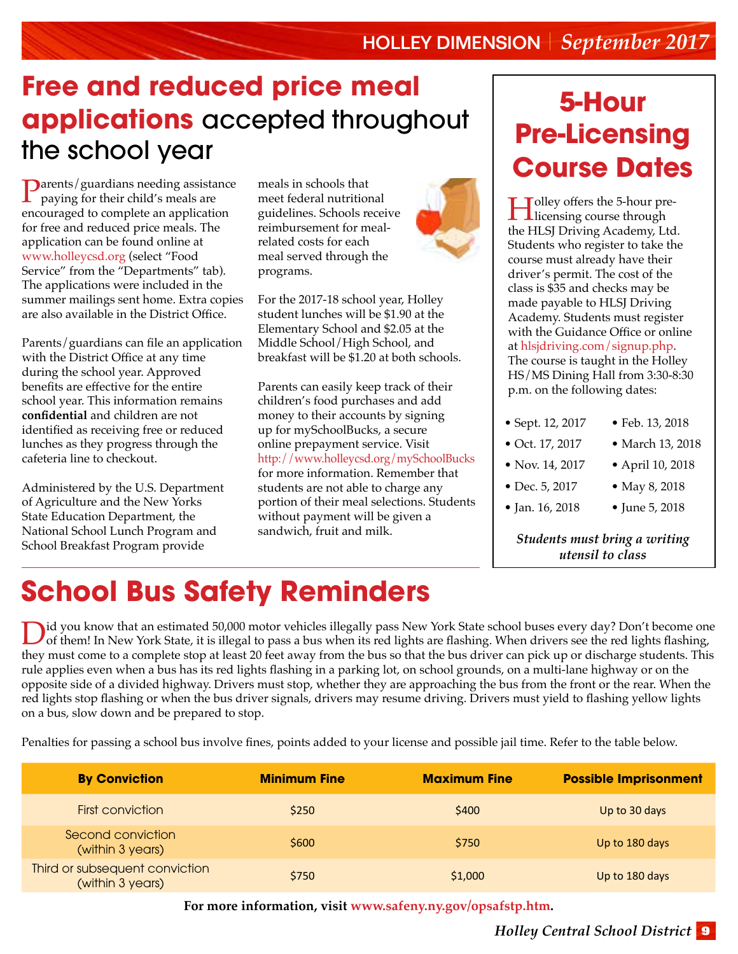### **Free and reduced price meal applications** accepted throughout the school year

Parents/guardians needing assistance paying for their child's meals are encouraged to complete an application for free and reduced price meals. The application can be found online at www.holleycsd.org (select "Food Service" from the "Departments" tab). The applications were included in the summer mailings sent home. Extra copies are also available in the District Office.

Parents/guardians can file an application with the District Office at any time during the school year. Approved benefits are effective for the entire school year. This information remains **confidential** and children are not identified as receiving free or reduced lunches as they progress through the cafeteria line to checkout.

Administered by the U.S. Department of Agriculture and the New Yorks State Education Department, the National School Lunch Program and School Breakfast Program provide

meals in schools that meet federal nutritional guidelines. Schools receive reimbursement for mealrelated costs for each meal served through the programs.

For the 2017-18 school year, Holley student lunches will be \$1.90 at the Elementary School and \$2.05 at the Middle School/High School, and breakfast will be \$1.20 at both schools.

Parents can easily keep track of their children's food purchases and add money to their accounts by signing up for mySchoolBucks, a secure online prepayment service. Visit http://www.holleycsd.org/mySchoolBucks for more information. Remember that students are not able to charge any portion of their meal selections. Students without payment will be given a sandwich, fruit and milk.

# **5-Hour Pre-Licensing Course Dates**

I Jolley offers the 5-hour pre-<br>licensing course through the HLSJ Driving Academy, Ltd. Students who register to take the course must already have their driver's permit. The cost of the class is \$35 and checks may be made payable to HLSJ Driving Academy. Students must register with the Guidance Office or online at [hlsjdriving.com/signup.php](http://hlsjdriving.com/signup.php). The course is taught in the Holley HS/MS Dining Hall from 3:30-8:30 p.m. on the following dates:

| • Sept. 12, 2017 | • Feb. 13, 2018  |
|------------------|------------------|
| • Oct. 17, 2017  | • March 13, 2018 |
| • Nov. 14, 2017  | • April 10, 2018 |
| • Dec. 5, 2017   | • May 8, 2018    |
| • Jan. 16, 2018  | • June 5, 2018   |

*Students must bring a writing utensil to class*

# **School Bus Safety Reminders**

ightyou know that an estimated 50,000 motor vehicles illegally pass New York State school buses every day? Don't become one<br>of them! In New York State, it is illegal to pass a bus when its red lights are flashing. When dri they must come to a complete stop at least 20 feet away from the bus so that the bus driver can pick up or discharge students. This rule applies even when a bus has its red lights flashing in a parking lot, on school grounds, on a multi-lane highway or on the opposite side of a divided highway. Drivers must stop, whether they are approaching the bus from the front or the rear. When the red lights stop flashing or when the bus driver signals, drivers may resume driving. Drivers must yield to flashing yellow lights on a bus, slow down and be prepared to stop.

Penalties for passing a school bus involve fines, points added to your license and possible jail time. Refer to the table below.

| <b>By Conviction</b>                               | <b>Minimum Fine</b> | <b>Maximum Fine</b> | <b>Possible Imprisonment</b> |
|----------------------------------------------------|---------------------|---------------------|------------------------------|
| First conviction                                   | \$250               | \$400               | Up to 30 days                |
| Second conviction<br>(within 3 years)              | \$600               | \$750               | Up to 180 days               |
| Third or subsequent conviction<br>(within 3 years) | \$750               | \$1,000             | Up to 180 days               |

**For more information, visit [www.safeny.ny.gov/opsafstp.htm.](http://www.safeny.ny.gov/opsafstp.htm)**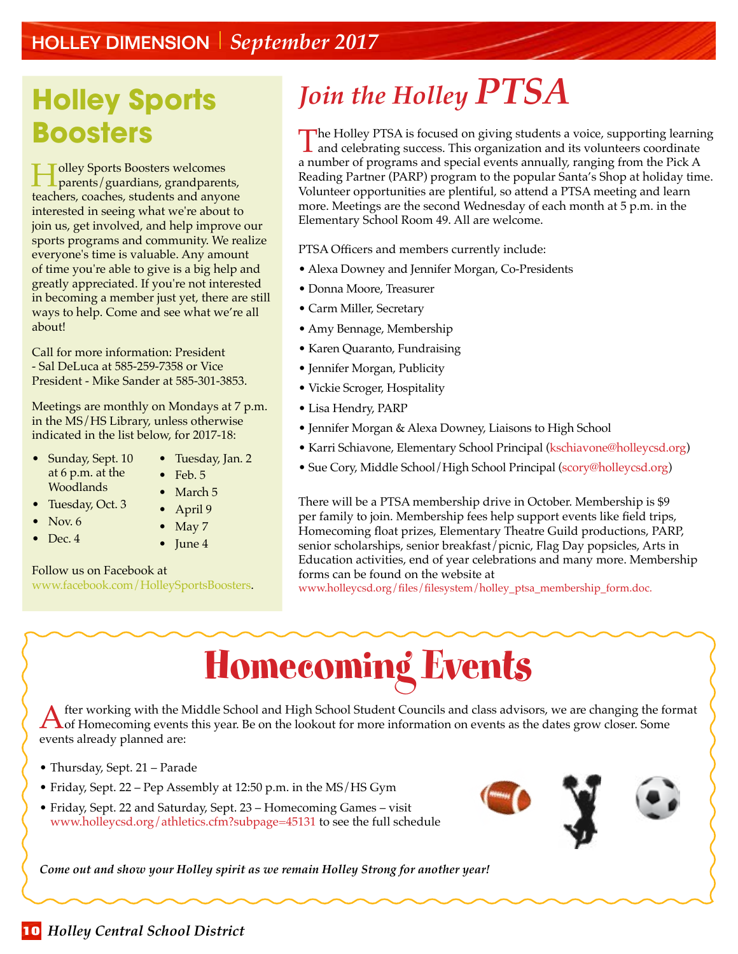### Holley Dimension *September 2017*

### **Holley Sports Boosters**

Holley Sports Boosters welcomes parents/guardians, grandparents, teachers, coaches, students and anyone interested in seeing what we're about to join us, get involved, and help improve our sports programs and community. We realize everyone's time is valuable. Any amount of time you're able to give is a big help and greatly appreciated. If you're not interested in becoming a member just yet, there are still ways to help. Come and see what we're all about!

Call for more information: President - Sal DeLuca at 585-259-7358 or Vice President - Mike Sander at 585-301-3853.

Meetings are monthly on Mondays at 7 p.m. in the MS/HS Library, unless otherwise indicated in the list below, for 2017-18:

- Sunday, Sept. 10 at 6 p.m. at the Woodlands
- Tuesday, Oct. 3
- Nov.  $6$
- $\bullet$  Dec. 4

### • Tuesday, Jan. 2

- Feb. 5 • March 5
- April 9
- May 7
- June 4

#### Follow us on Facebook at

www.facebook.com/HolleySportsBoosters.

# *Join the Holley PTSA*

The Holley PTSA is focused on giving students a voice, supporting learning and celebrating success. This organization and its volunteers coordinate a number of programs and special events annually, ranging from the Pick A Reading Partner (PARP) program to the popular Santa's Shop at holiday time. Volunteer opportunities are plentiful, so attend a PTSA meeting and learn more. Meetings are the second Wednesday of each month at 5 p.m. in the Elementary School Room 49. All are welcome.

PTSA Officers and members currently include:

- Alexa Downey and Jennifer Morgan, Co-Presidents
- Donna Moore, Treasurer
- Carm Miller, Secretary
- Amy Bennage, Membership
- Karen Quaranto, Fundraising
- Jennifer Morgan, Publicity
- Vickie Scroger, Hospitality
- Lisa Hendry, PARP
- Jennifer Morgan & Alexa Downey, Liaisons to High School
- Karri Schiavone, Elementary School Principal (kschiavone@holleycsd.org)
- Sue Cory, Middle School/High School Principal (scory@holleycsd.org)

There will be a PTSA membership drive in October. Membership is \$9 per family to join. Membership fees help support events like field trips, Homecoming float prizes, Elementary Theatre Guild productions, PARP, senior scholarships, senior breakfast/picnic, Flag Day popsicles, Arts in Education activities, end of year celebrations and many more. Membership forms can be found on the website at

www.holleycsd.org/files/filesystem/holley\_ptsa\_membership\_form.doc.

# Homecoming Events

A fter working with the Middle School and High School Student Councils and class advisors, we are changing the format<br>A of Homecoming events this year. Be on the lookout for more information on events as the dates grow clo events already planned are:

- Thursday, Sept. 21 Parade
- Friday, Sept. 22 Pep Assembly at 12:50 p.m. in the MS/HS Gym
- Friday, Sept. 22 and Saturday, Sept. 23 Homecoming Games visit www.holleycsd.org/athletics.cfm?subpage=45131 to see the full schedule

*Come out and show your Holley spirit as we remain Holley Strong for another year!*

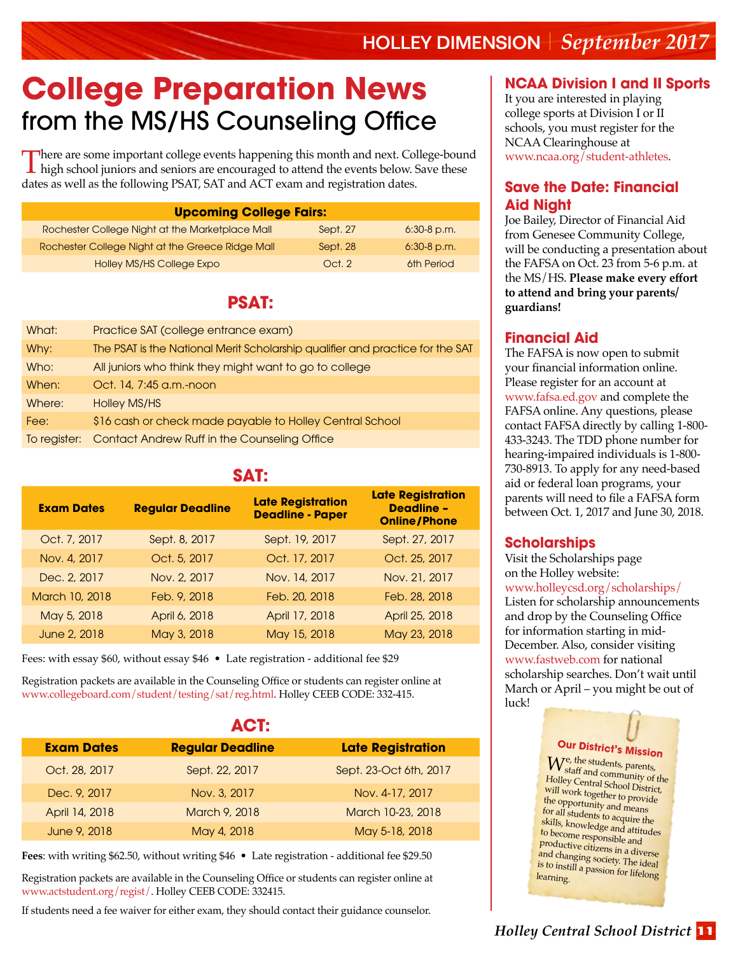# **College Preparation News** from the MS/HS Counseling Office

There are some important college events happening this month and next. College-bound high school juniors and seniors are encouraged to attend the events below. Save these dates as well as the following PSAT, SAT and ACT exam and registration dates.

| <b>Upcoming College Fairs:</b>                   |          |               |  |
|--------------------------------------------------|----------|---------------|--|
| Rochester College Night at the Marketplace Mall  | Sept. 27 | $6:30-8$ p.m. |  |
| Rochester College Night at the Greece Ridge Mall | Sept. 28 | $6:30-8$ p.m. |  |
| Holley MS/HS College Expo                        | Oct.2    | 6th Period    |  |

### **PSAT:**

| What:        | Practice SAT (college entrance exam)                                          |
|--------------|-------------------------------------------------------------------------------|
| Why:         | The PSAT is the National Merit Scholarship qualifier and practice for the SAT |
| Who:         | All juniors who think they might want to go to college                        |
| When:        | Oct. 14, 7:45 a.m.-noon                                                       |
| Where:       | Holley MS/HS                                                                  |
| Fee:         | \$16 cash or check made payable to Holley Central School                      |
| To register: | Contact Andrew Ruff in the Counseling Office                                  |

#### **SAT:**

| <b>Exam Dates</b> | <b>Regular Deadline</b> | <b>Late Registration</b><br><b>Deadline - Paper</b> | <b>Late Registration</b><br><b>Deadline -</b><br><b>Online/Phone</b> |
|-------------------|-------------------------|-----------------------------------------------------|----------------------------------------------------------------------|
| Oct. 7, 2017      | Sept. 8, 2017           | Sept. 19, 2017                                      | Sept. 27, 2017                                                       |
| Nov. 4, 2017      | Oct. 5, 2017            | Oct. 17, 2017                                       | Oct. 25, 2017                                                        |
| Dec. 2, 2017      | Nov. 2, 2017            | Nov. 14, 2017                                       | Nov. 21, 2017                                                        |
| March 10, 2018    | Feb. 9, 2018            | Feb. 20, 2018                                       | Feb. 28, 2018                                                        |
| May 5, 2018       | April 6, 2018           | April 17, 2018                                      | April 25, 2018                                                       |
| June 2, 2018      | May 3, 2018             | May 15, 2018                                        | May 23, 2018                                                         |

Fees: with essay \$60, without essay \$46 • Late registration - additional fee \$29

Registration packets are available in the Counseling Office or students can register online at www.collegeboard.com/student/testing/sat/reg.html. Holley CEEB CODE: 332-415.

|                   | AGE:                    |                          |
|-------------------|-------------------------|--------------------------|
| <b>Exam Dates</b> | <b>Regular Deadline</b> | <b>Late Registration</b> |
| Oct. 28, 2017     | Sept. 22, 2017          | Sept. 23-Oct 6th, 2017   |
| Dec. 9, 2017      | Nov. 3, 2017            | Nov. 4-17, 2017          |
| April 14, 2018    | March 9, 2018           | March 10-23, 2018        |
| June 9, 2018      | May 4, 2018             | May 5-18, 2018           |

**ACT:**

**Fees**: with writing \$62.50, without writing \$46 • Late registration - additional fee \$29.50

Registration packets are available in the Counseling Office or students can register online at www.actstudent.org/regist/. Holley CEEB CODE: 332415.

If students need a fee waiver for either exam, they should contact their guidance counselor.

### **NCAA Division I and II Sports**

It you are interested in playing college sports at Division I or II schools, you must register for the NCAA Clearinghouse at www.ncaa.org/student-athletes.

### **Save the Date: Financial Aid Night**

Joe Bailey, Director of Financial Aid from Genesee Community College, will be conducting a presentation about the FAFSA on Oct. 23 from 5-6 p.m. at the MS/HS. **Please make every effort to attend and bring your parents/ guardians!** 

### **Financial Aid**

The FAFSA is now open to submit your financial information online. Please register for an account at www.fafsa.ed.gov and complete the FAFSA online. Any questions, please contact FAFSA directly by calling 1-800- 433-3243. The TDD phone number for hearing-impaired individuals is 1-800- 730-8913. To apply for any need-based aid or federal loan programs, your parents will need to file a FAFSA form between Oct. 1, 2017 and June 30, 2018.

### **Scholarships**

Visit the Scholarships page on the Holley website: www.holleycsd.org/scholarships/ Listen for scholarship announcements and drop by the Counseling Office for information starting in mid-December. Also, consider visiting www.fastweb.com for national scholarship searches. Don't wait until March or April – you might be out of luck!

### **Our District's Mission**

 $W_{\text{staff}}^{\text{e, the students, parents}}$ staff and community of the Holley Central School District, will work together to provide the opportunity and means for all students to acquire the skills, knowledge and attitudes to become responsible and productive citizens in a diverse and changing society. The ideal is to instill a passion for lifelong learning.